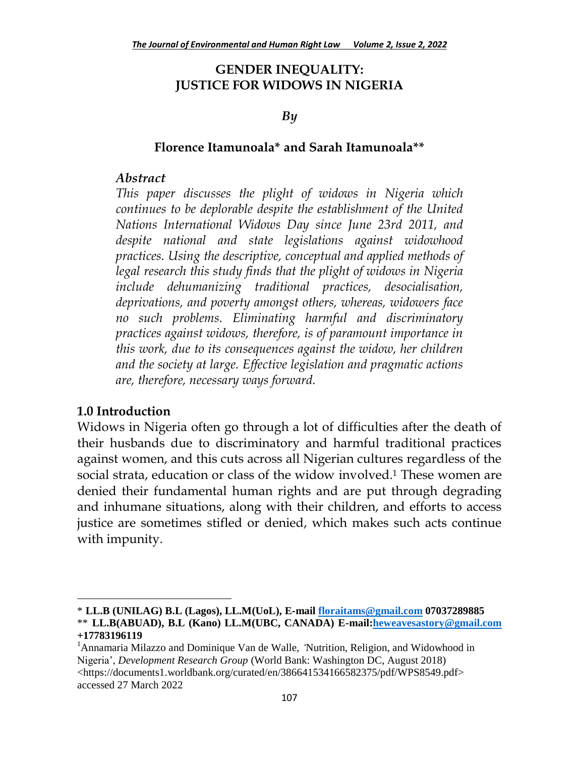#### **GENDER INEQUALITY: JUSTICE FOR WIDOWS IN NIGERIA**

#### *By*

#### **Florence Itamunoala\* and Sarah Itamunoala\*\***

#### *Abstract*

*This paper discusses the plight of widows in Nigeria which continues to be deplorable despite the establishment of the United Nations International Widows Day since June 23rd 2011, and despite national and state legislations against widowhood practices. Using the descriptive, conceptual and applied methods of legal research this study finds that the plight of widows in Nigeria include dehumanizing traditional practices, desocialisation, deprivations, and poverty amongst others, whereas, widowers face no such problems. Eliminating harmful and discriminatory practices against widows, therefore, is of paramount importance in this work, due to its consequences against the widow, her children and the society at large. Effective legislation and pragmatic actions are, therefore, necessary ways forward.*

#### **1.0 Introduction**

 $\overline{\phantom{a}}$ 

Widows in Nigeria often go through a lot of difficulties after the death of their husbands due to discriminatory and harmful traditional practices against women, and this cuts across all Nigerian cultures regardless of the social strata, education or class of the widow involved.<sup>1</sup> These women are denied their fundamental human rights and are put through degrading and inhumane situations, along with their children, and efforts to access justice are sometimes stifled or denied, which makes such acts continue with impunity.

<sup>\*</sup> **LL.B (UNILAG) B.L (Lagos), LL.M(UoL), E-mail [floraitams@gmail.com](mailto:floraitams@gmail.com) 07037289885** \*\* **LL.B(ABUAD), B.L (Kano) LL.M(UBC, CANADA) E-mail[:heweavesastory@gmail.com](mailto:heweavesastory@gmail.com) +17783196119**

<sup>&</sup>lt;sup>1</sup>Annamaria Milazzo and Dominique Van de Walle, *'Nutrition*, Religion, and Widowhood in Nigeria', *Development Research Group* (World Bank: Washington DC, August 2018) <https://documents1.worldbank.org/curated/en/386641534166582375/pdf/WPS8549.pdf> accessed 27 March 2022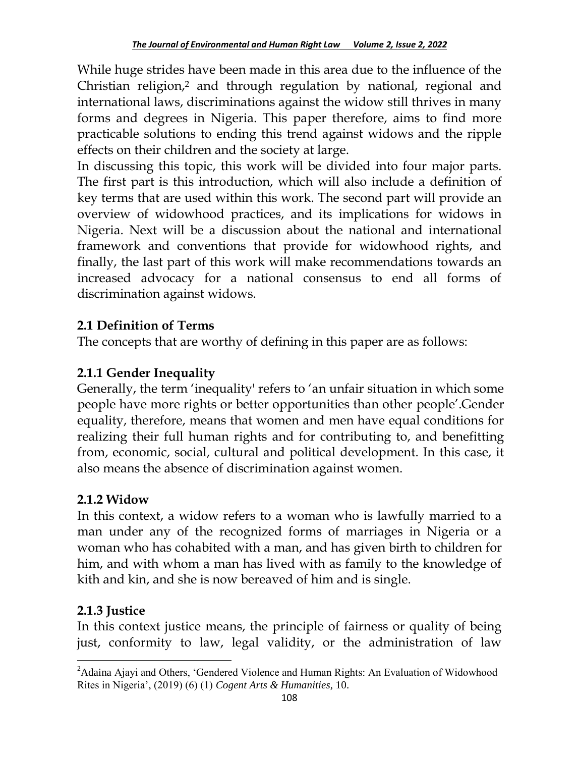While huge strides have been made in this area due to the influence of the Christian religion,<sup>2</sup> and through regulation by national, regional and international laws, discriminations against the widow still thrives in many forms and degrees in Nigeria. This paper therefore, aims to find more practicable solutions to ending this trend against widows and the ripple effects on their children and the society at large.

In discussing this topic, this work will be divided into four major parts. The first part is this introduction, which will also include a definition of key terms that are used within this work. The second part will provide an overview of widowhood practices, and its implications for widows in Nigeria. Next will be a discussion about the national and international framework and conventions that provide for widowhood rights, and finally, the last part of this work will make recommendations towards an increased advocacy for a national consensus to end all forms of discrimination against widows.

## **2.1 Definition of Terms**

The concepts that are worthy of defining in this paper are as follows:

# **2.1.1 Gender Inequality**

Generally, the term 'inequality' refers to 'an unfair situation in which some people have more rights or better opportunities than other people".Gender equality, therefore, means that women and men have equal conditions for realizing their full human rights and for contributing to, and benefitting from, economic, social, cultural and political development. In this case, it also means the absence of discrimination against women.

## **2.1.2 Widow**

In this context, a widow refers to a woman who is lawfully married to a man under any of the recognized forms of marriages in Nigeria or a woman who has cohabited with a man, and has given birth to children for him, and with whom a man has lived with as family to the knowledge of kith and kin, and she is now bereaved of him and is single.

# **2.1.3 Justice**

In this context justice means, the principle of fairness or quality of being just, conformity to law, legal validity, or the administration of law

 $\overline{\phantom{a}}$ <sup>2</sup>Adaina Ajayi and Others, 'Gendered Violence and Human Rights: An Evaluation of Widowhood Rites in Nigeria', (2019) (6) (1) *Cogent Arts & Humanities*, 10.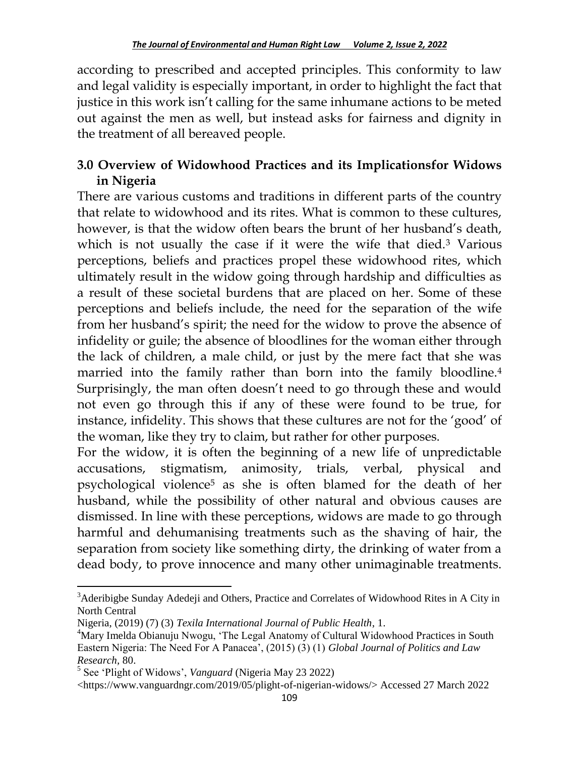according to prescribed and accepted principles. This conformity to law and legal validity is especially important, in order to highlight the fact that justice in this work isn't calling for the same inhumane actions to be meted out against the men as well, but instead asks for fairness and dignity in the treatment of all bereaved people.

### **3.0 Overview of Widowhood Practices and its Implicationsfor Widows in Nigeria**

There are various customs and traditions in different parts of the country that relate to widowhood and its rites. What is common to these cultures, however, is that the widow often bears the brunt of her husband"s death, which is not usually the case if it were the wife that died.<sup>3</sup> Various perceptions, beliefs and practices propel these widowhood rites, which ultimately result in the widow going through hardship and difficulties as a result of these societal burdens that are placed on her. Some of these perceptions and beliefs include, the need for the separation of the wife from her husband"s spirit; the need for the widow to prove the absence of infidelity or guile; the absence of bloodlines for the woman either through the lack of children, a male child, or just by the mere fact that she was married into the family rather than born into the family bloodline.<sup>4</sup> Surprisingly, the man often doesn't need to go through these and would not even go through this if any of these were found to be true, for instance, infidelity. This shows that these cultures are not for the "good" of the woman, like they try to claim, but rather for other purposes.

For the widow, it is often the beginning of a new life of unpredictable accusations, stigmatism, animosity, trials, verbal, physical and psychological violence<sup>5</sup> as she is often blamed for the death of her husband, while the possibility of other natural and obvious causes are dismissed. In line with these perceptions, widows are made to go through harmful and dehumanising treatments such as the shaving of hair, the separation from society like something dirty, the drinking of water from a dead body, to prove innocence and many other unimaginable treatments.

 $3$ Aderibigbe Sunday Adedeji and Others, Practice and Correlates of Widowhood Rites in A City in North Central

Nigeria, (2019) (7) (3) *Texila International Journal of Public Health*, 1.

<sup>4</sup>Mary Imelda Obianuju Nwogu, 'The Legal Anatomy of Cultural Widowhood Practices in South Eastern Nigeria: The Need For A Panacea', (2015) (3) (1) *Global Journal of Politics and Law Research,* 80.

<sup>5</sup> See 'Plight of Widows', *Vanguard* (Nigeria May 23 2022)

<sup>&</sup>lt;https://www.vanguardngr.com/2019/05/plight-of-nigerian-widows/> Accessed 27 March 2022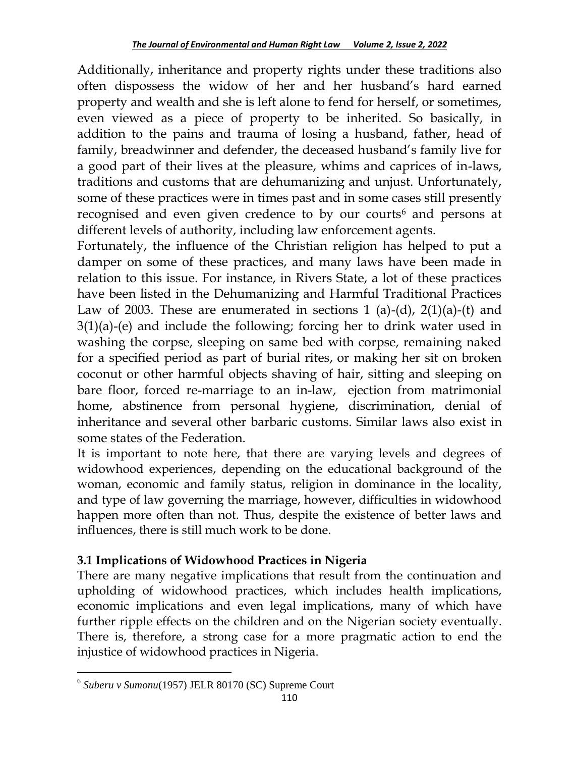Additionally, inheritance and property rights under these traditions also often dispossess the widow of her and her husband"s hard earned property and wealth and she is left alone to fend for herself, or sometimes, even viewed as a piece of property to be inherited. So basically, in addition to the pains and trauma of losing a husband, father, head of family, breadwinner and defender, the deceased husband"s family live for a good part of their lives at the pleasure, whims and caprices of in-laws, traditions and customs that are dehumanizing and unjust. Unfortunately, some of these practices were in times past and in some cases still presently recognised and even given credence to by our courts<sup>6</sup> and persons at different levels of authority, including law enforcement agents.

Fortunately, the influence of the Christian religion has helped to put a damper on some of these practices, and many laws have been made in relation to this issue. For instance, in Rivers State, a lot of these practices have been listed in the Dehumanizing and Harmful Traditional Practices Law of 2003. These are enumerated in sections 1 (a)-(d), 2(1)(a)-(t) and 3(1)(a)-(e) and include the following; forcing her to drink water used in washing the corpse, sleeping on same bed with corpse, remaining naked for a specified period as part of burial rites, or making her sit on broken coconut or other harmful objects shaving of hair, sitting and sleeping on bare floor, forced re-marriage to an in-law, ejection from matrimonial home, abstinence from personal hygiene, discrimination, denial of inheritance and several other barbaric customs. Similar laws also exist in some states of the Federation.

It is important to note here, that there are varying levels and degrees of widowhood experiences, depending on the educational background of the woman, economic and family status, religion in dominance in the locality, and type of law governing the marriage, however, difficulties in widowhood happen more often than not. Thus, despite the existence of better laws and influences, there is still much work to be done.

## **3.1 Implications of Widowhood Practices in Nigeria**

There are many negative implications that result from the continuation and upholding of widowhood practices, which includes health implications, economic implications and even legal implications, many of which have further ripple effects on the children and on the Nigerian society eventually. There is, therefore, a strong case for a more pragmatic action to end the injustice of widowhood practices in Nigeria.

 $\overline{\phantom{a}}$ 6 *Suberu v Sumonu*(1957) JELR 80170 (SC) Supreme Court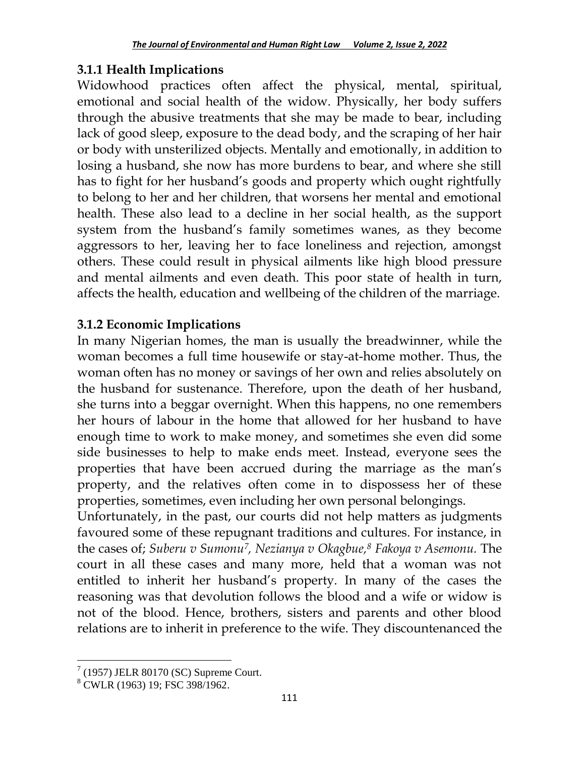### **3.1.1 Health Implications**

Widowhood practices often affect the physical, mental, spiritual, emotional and social health of the widow. Physically, her body suffers through the abusive treatments that she may be made to bear, including lack of good sleep, exposure to the dead body, and the scraping of her hair or body with unsterilized objects. Mentally and emotionally, in addition to losing a husband, she now has more burdens to bear, and where she still has to fight for her husband"s goods and property which ought rightfully to belong to her and her children, that worsens her mental and emotional health. These also lead to a decline in her social health, as the support system from the husband"s family sometimes wanes, as they become aggressors to her, leaving her to face loneliness and rejection, amongst others. These could result in physical ailments like high blood pressure and mental ailments and even death. This poor state of health in turn, affects the health, education and wellbeing of the children of the marriage.

### **3.1.2 Economic Implications**

In many Nigerian homes, the man is usually the breadwinner, while the woman becomes a full time housewife or stay-at-home mother. Thus, the woman often has no money or savings of her own and relies absolutely on the husband for sustenance. Therefore, upon the death of her husband, she turns into a beggar overnight. When this happens, no one remembers her hours of labour in the home that allowed for her husband to have enough time to work to make money, and sometimes she even did some side businesses to help to make ends meet. Instead, everyone sees the properties that have been accrued during the marriage as the man"s property, and the relatives often come in to dispossess her of these properties, sometimes, even including her own personal belongings.

Unfortunately, in the past, our courts did not help matters as judgments favoured some of these repugnant traditions and cultures. For instance, in the cases of; *Suberu v Sumonu7, Nezianya v Okagbue, <sup>8</sup> Fakoya v Asemonu.* The court in all these cases and many more, held that a woman was not entitled to inherit her husband"s property. In many of the cases the reasoning was that devolution follows the blood and a wife or widow is not of the blood. Hence, brothers, sisters and parents and other blood relations are to inherit in preference to the wife. They discountenanced the

 $7(1957)$  JELR 80170 (SC) Supreme Court.

<sup>8</sup> CWLR (1963) 19; FSC 398/1962.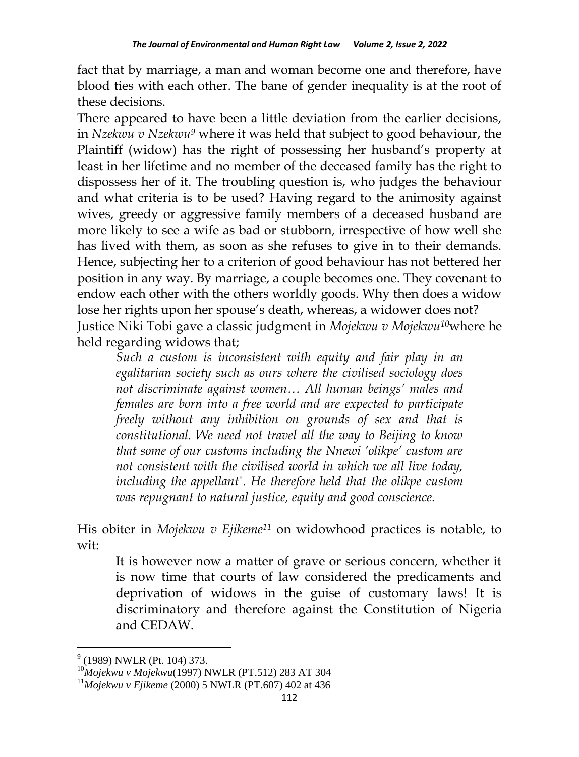fact that by marriage, a man and woman become one and therefore, have blood ties with each other. The bane of gender inequality is at the root of these decisions.

There appeared to have been a little deviation from the earlier decisions, in *Nzekwu v Nzekwu<sup>9</sup>* where it was held that subject to good behaviour, the Plaintiff (widow) has the right of possessing her husband's property at least in her lifetime and no member of the deceased family has the right to dispossess her of it. The troubling question is, who judges the behaviour and what criteria is to be used? Having regard to the animosity against wives, greedy or aggressive family members of a deceased husband are more likely to see a wife as bad or stubborn, irrespective of how well she has lived with them, as soon as she refuses to give in to their demands. Hence, subjecting her to a criterion of good behaviour has not bettered her position in any way. By marriage, a couple becomes one. They covenant to endow each other with the others worldly goods. Why then does a widow lose her rights upon her spouse's death, whereas, a widower does not? Justice Niki Tobi gave a classic judgment in *Mojekwu v Mojekwu10*where he held regarding widows that;

*Such a custom is inconsistent with equity and fair play in an egalitarian society such as ours where the civilised sociology does not discriminate against women… All human beings' males and females are born into a free world and are expected to participate freely without any inhibition on grounds of sex and that is constitutional. We need not travel all the way to Beijing to know that some of our customs including the Nnewi 'olikpe' custom are not consistent with the civilised world in which we all live today, including the appellant'. He therefore held that the olikpe custom was repugnant to natural justice, equity and good conscience.*

His obiter in *Mojekwu v Ejikeme<sup>11</sup>* on widowhood practices is notable, to wit:

It is however now a matter of grave or serious concern, whether it is now time that courts of law considered the predicaments and deprivation of widows in the guise of customary laws! It is discriminatory and therefore against the Constitution of Nigeria and CEDAW.

 $\overline{a}$  $9$  (1989) NWLR (Pt. 104) 373.

<sup>10</sup>*Mojekwu v Mojekwu*(1997) NWLR (PT.512) 283 AT 304

<sup>11</sup>*Mojekwu v Ejikeme* (2000) 5 NWLR (PT.607) 402 at 436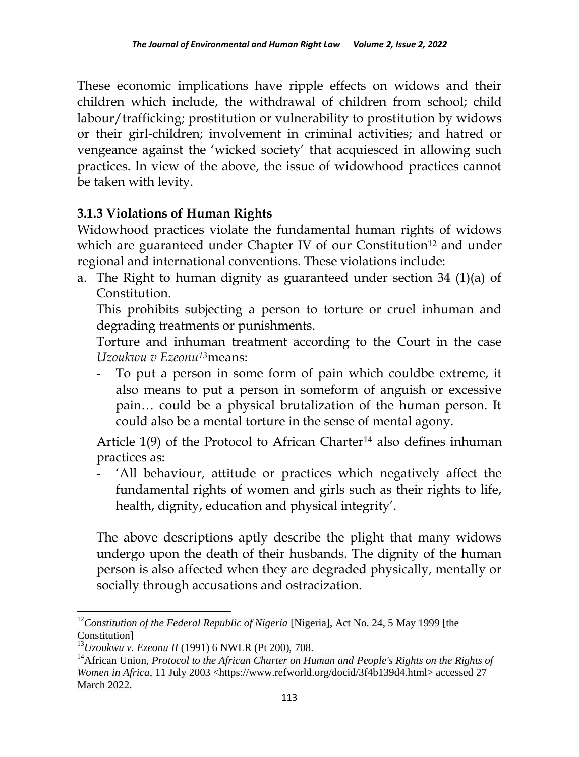These economic implications have ripple effects on widows and their children which include, the withdrawal of children from school; child labour/trafficking; prostitution or vulnerability to prostitution by widows or their girl-children; involvement in criminal activities; and hatred or vengeance against the "wicked society" that acquiesced in allowing such practices. In view of the above, the issue of widowhood practices cannot be taken with levity.

## **3.1.3 Violations of Human Rights**

Widowhood practices violate the fundamental human rights of widows which are guaranteed under Chapter IV of our Constitution<sup>12</sup> and under regional and international conventions. These violations include:

a. The Right to human dignity as guaranteed under section 34  $(1)(a)$  of Constitution.

This prohibits subjecting a person to torture or cruel inhuman and degrading treatments or punishments.

Torture and inhuman treatment according to the Court in the case *Uzoukwu v Ezeonu13*means:

To put a person in some form of pain which couldbe extreme, it also means to put a person in someform of anguish or excessive pain… could be a physical brutalization of the human person. It could also be a mental torture in the sense of mental agony.

Article  $1(9)$  of the Protocol to African Charter<sup>14</sup> also defines inhuman practices as:

All behaviour, attitude or practices which negatively affect the fundamental rights of women and girls such as their rights to life, health, dignity, education and physical integrity'.

The above descriptions aptly describe the plight that many widows undergo upon the death of their husbands. The dignity of the human person is also affected when they are degraded physically, mentally or socially through accusations and ostracization.

 $\overline{a}$ <sup>12</sup>Constitution of the Federal Republic of Nigeria [Nigeria], Act No. 24, 5 May 1999 [the Constitution]

<sup>13</sup>*Uzoukwu v. Ezeonu II* (1991) 6 NWLR (Pt 200), 708.

<sup>&</sup>lt;sup>14</sup> African Union, *Protocol to the African Charter on Human and People's Rights on the Rights of Women in Africa*, 11 July 2003 <https://www.refworld.org/docid/3f4b139d4.html> accessed 27 March 2022.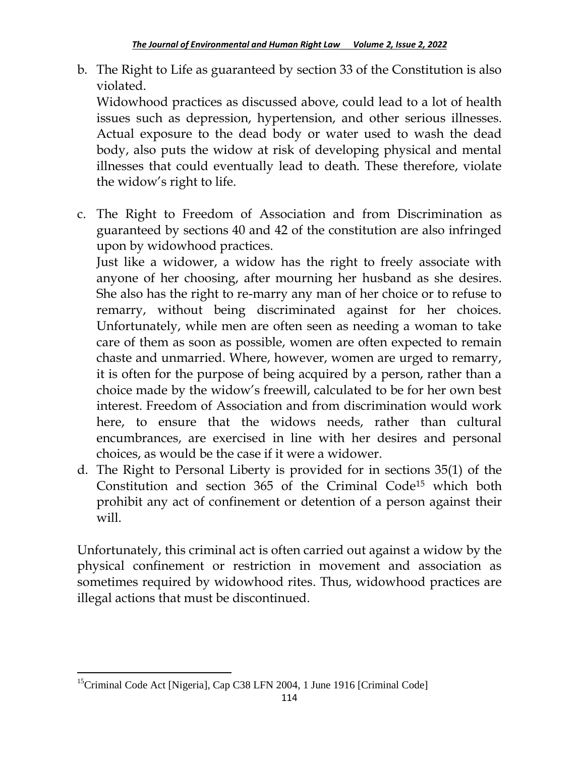b. The Right to Life as guaranteed by section 33 of the Constitution is also violated.

Widowhood practices as discussed above, could lead to a lot of health issues such as depression, hypertension, and other serious illnesses. Actual exposure to the dead body or water used to wash the dead body, also puts the widow at risk of developing physical and mental illnesses that could eventually lead to death. These therefore, violate the widow"s right to life.

c. The Right to Freedom of Association and from Discrimination as guaranteed by sections 40 and 42 of the constitution are also infringed upon by widowhood practices.

Just like a widower, a widow has the right to freely associate with anyone of her choosing, after mourning her husband as she desires. She also has the right to re-marry any man of her choice or to refuse to remarry, without being discriminated against for her choices. Unfortunately, while men are often seen as needing a woman to take care of them as soon as possible, women are often expected to remain chaste and unmarried. Where, however, women are urged to remarry, it is often for the purpose of being acquired by a person, rather than a choice made by the widow"s freewill, calculated to be for her own best interest. Freedom of Association and from discrimination would work here, to ensure that the widows needs, rather than cultural encumbrances, are exercised in line with her desires and personal choices, as would be the case if it were a widower.

d. The Right to Personal Liberty is provided for in sections 35(1) of the Constitution and section 365 of the Criminal Code<sup>15</sup> which both prohibit any act of confinement or detention of a person against their will.

Unfortunately, this criminal act is often carried out against a widow by the physical confinement or restriction in movement and association as sometimes required by widowhood rites. Thus, widowhood practices are illegal actions that must be discontinued.

<sup>&</sup>lt;sup>15</sup>Criminal Code Act [Nigeria], Cap C38 LFN 2004, 1 June 1916 [Criminal Code]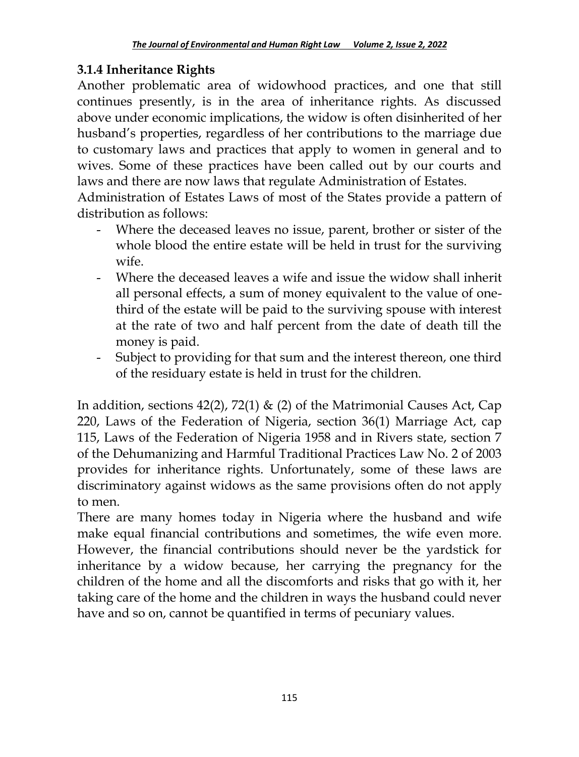## **3.1.4 Inheritance Rights**

Another problematic area of widowhood practices, and one that still continues presently, is in the area of inheritance rights. As discussed above under economic implications, the widow is often disinherited of her husband"s properties, regardless of her contributions to the marriage due to customary laws and practices that apply to women in general and to wives. Some of these practices have been called out by our courts and laws and there are now laws that regulate Administration of Estates.

Administration of Estates Laws of most of the States provide a pattern of distribution as follows:

- Where the deceased leaves no issue, parent, brother or sister of the whole blood the entire estate will be held in trust for the surviving wife.
- Where the deceased leaves a wife and issue the widow shall inherit all personal effects, a sum of money equivalent to the value of onethird of the estate will be paid to the surviving spouse with interest at the rate of two and half percent from the date of death till the money is paid.
- Subject to providing for that sum and the interest thereon, one third of the residuary estate is held in trust for the children.

In addition, sections 42(2), 72(1) & (2) of the Matrimonial Causes Act, Cap 220, Laws of the Federation of Nigeria, section 36(1) Marriage Act, cap 115, Laws of the Federation of Nigeria 1958 and in Rivers state, section 7 of the Dehumanizing and Harmful Traditional Practices Law No. 2 of 2003 provides for inheritance rights. Unfortunately, some of these laws are discriminatory against widows as the same provisions often do not apply to men.

There are many homes today in Nigeria where the husband and wife make equal financial contributions and sometimes, the wife even more. However, the financial contributions should never be the yardstick for inheritance by a widow because, her carrying the pregnancy for the children of the home and all the discomforts and risks that go with it, her taking care of the home and the children in ways the husband could never have and so on, cannot be quantified in terms of pecuniary values.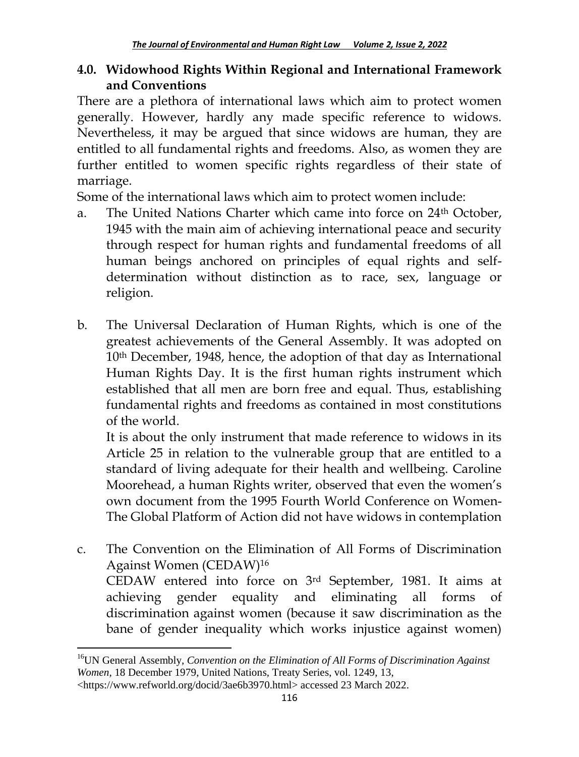### **4.0. Widowhood Rights Within Regional and International Framework and Conventions**

There are a plethora of international laws which aim to protect women generally. However, hardly any made specific reference to widows. Nevertheless, it may be argued that since widows are human, they are entitled to all fundamental rights and freedoms. Also, as women they are further entitled to women specific rights regardless of their state of marriage.

Some of the international laws which aim to protect women include:

- a. The United Nations Charter which came into force on 24<sup>th</sup> October, 1945 with the main aim of achieving international peace and security through respect for human rights and fundamental freedoms of all human beings anchored on principles of equal rights and selfdetermination without distinction as to race, sex, language or religion.
- b. The Universal Declaration of Human Rights, which is one of the greatest achievements of the General Assembly. It was adopted on 10th December, 1948, hence, the adoption of that day as International Human Rights Day. It is the first human rights instrument which established that all men are born free and equal. Thus, establishing fundamental rights and freedoms as contained in most constitutions of the world.

It is about the only instrument that made reference to widows in its Article 25 in relation to the vulnerable group that are entitled to a standard of living adequate for their health and wellbeing. Caroline Moorehead, a human Rights writer, observed that even the women"s own document from the 1995 Fourth World Conference on Women-The Global Platform of Action did not have widows in contemplation

c. The Convention on the Elimination of All Forms of Discrimination Against Women (CEDAW)<sup>16</sup> CEDAW entered into force on 3rd September, 1981. It aims at achieving gender equality and eliminating all forms of discrimination against women (because it saw discrimination as the bane of gender inequality which works injustice against women)

 $\overline{a}$ 

<sup>&</sup>lt;sup>16</sup>UN General Assembly, *Convention on the Elimination of All Forms of Discrimination Against Women*, 18 December 1979, United Nations, Treaty Series, vol. 1249, 13,

<sup>&</sup>lt;https://www.refworld.org/docid/3ae6b3970.html> accessed 23 March 2022.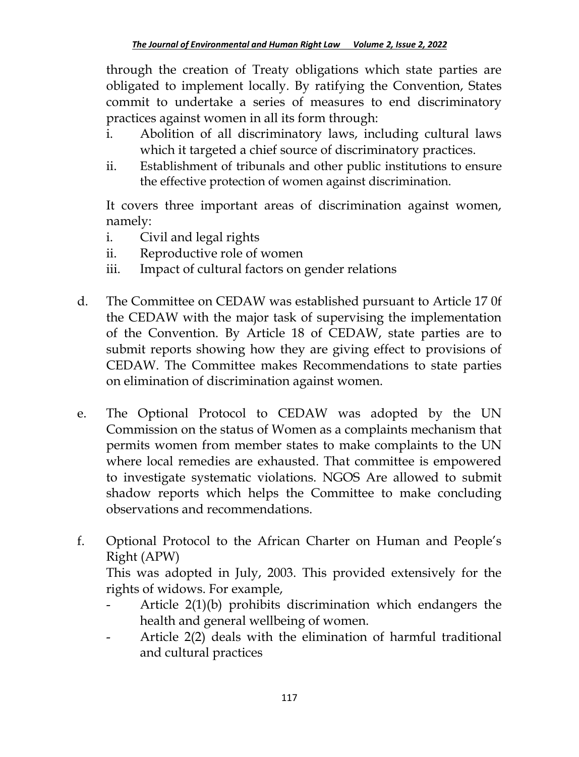through the creation of Treaty obligations which state parties are obligated to implement locally. By ratifying the Convention, States commit to undertake a series of measures to end discriminatory practices against women in all its form through:

- i. Abolition of all discriminatory laws, including cultural laws which it targeted a chief source of discriminatory practices.
- ii. Establishment of tribunals and other public institutions to ensure the effective protection of women against discrimination.

It covers three important areas of discrimination against women, namely:

- i. Civil and legal rights
- ii. Reproductive role of women
- iii. Impact of cultural factors on gender relations
- d. The Committee on CEDAW was established pursuant to Article 17 0f the CEDAW with the major task of supervising the implementation of the Convention. By Article 18 of CEDAW, state parties are to submit reports showing how they are giving effect to provisions of CEDAW. The Committee makes Recommendations to state parties on elimination of discrimination against women.
- e. The Optional Protocol to CEDAW was adopted by the UN Commission on the status of Women as a complaints mechanism that permits women from member states to make complaints to the UN where local remedies are exhausted. That committee is empowered to investigate systematic violations. NGOS Are allowed to submit shadow reports which helps the Committee to make concluding observations and recommendations.
- f. Optional Protocol to the African Charter on Human and People"s Right (APW)

This was adopted in July, 2003. This provided extensively for the rights of widows. For example,

- Article 2(1)(b) prohibits discrimination which endangers the health and general wellbeing of women.
- Article 2(2) deals with the elimination of harmful traditional and cultural practices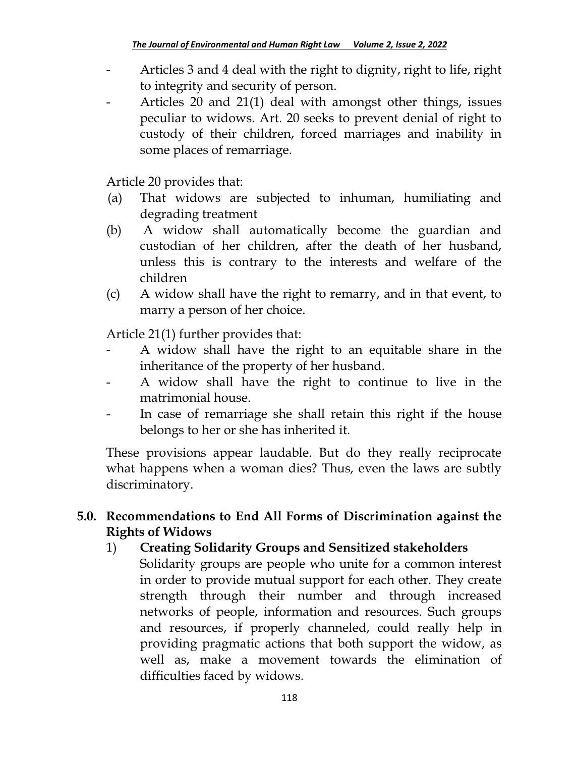- Articles 3 and 4 deal with the right to dignity, right to life, right to integrity and security of person.
- Articles 20 and 21(1) deal with amongst other things, issues peculiar to widows. Art. 20 seeks to prevent denial of right to custody of their children, forced marriages and inability in some places of remarriage.

Article 20 provides that:

- (a) That widows are subjected to inhuman, humiliating and degrading treatment
- (b) A widow shall automatically become the guardian and custodian of her children, after the death of her husband, unless this is contrary to the interests and welfare of the children
- (c) A widow shall have the right to remarry, and in that event, to marry a person of her choice.

Article 21(1) further provides that:

- A widow shall have the right to an equitable share in the inheritance of the property of her husband.
- A widow shall have the right to continue to live in the matrimonial house.
- In case of remarriage she shall retain this right if the house belongs to her or she has inherited it.

These provisions appear laudable. But do they really reciprocate what happens when a woman dies? Thus, even the laws are subtly discriminatory.

# **5.0. Recommendations to End All Forms of Discrimination against the Rights of Widows**

## 1) **Creating Solidarity Groups and Sensitized stakeholders**

Solidarity groups are people who unite for a common interest in order to provide mutual support for each other. They create strength through their number and through increased networks of people, information and resources. Such groups and resources, if properly channeled, could really help in providing pragmatic actions that both support the widow, as well as, make a movement towards the elimination of difficulties faced by widows.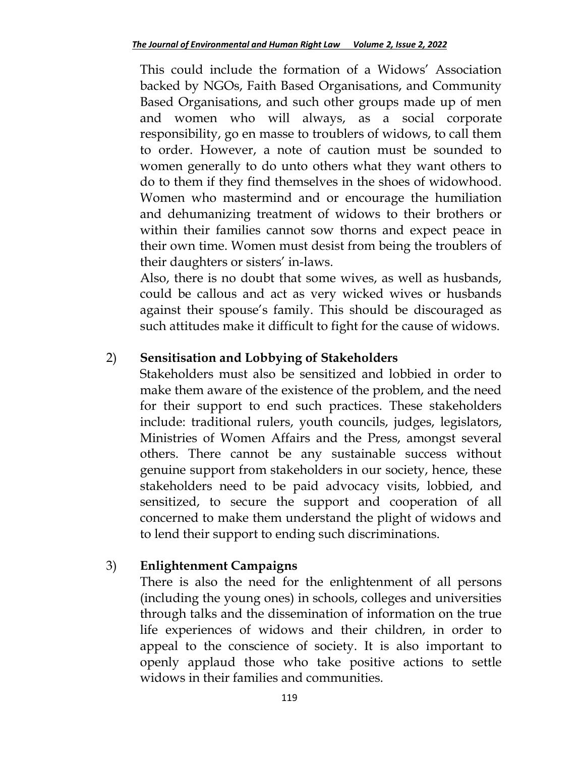This could include the formation of a Widows" Association backed by NGOs, Faith Based Organisations, and Community Based Organisations, and such other groups made up of men and women who will always, as a social corporate responsibility, go en masse to troublers of widows, to call them to order. However, a note of caution must be sounded to women generally to do unto others what they want others to do to them if they find themselves in the shoes of widowhood. Women who mastermind and or encourage the humiliation and dehumanizing treatment of widows to their brothers or within their families cannot sow thorns and expect peace in their own time. Women must desist from being the troublers of their daughters or sisters' in-laws.

Also, there is no doubt that some wives, as well as husbands, could be callous and act as very wicked wives or husbands against their spouse's family. This should be discouraged as such attitudes make it difficult to fight for the cause of widows.

### 2) **Sensitisation and Lobbying of Stakeholders**

Stakeholders must also be sensitized and lobbied in order to make them aware of the existence of the problem, and the need for their support to end such practices. These stakeholders include: traditional rulers, youth councils, judges, legislators, Ministries of Women Affairs and the Press, amongst several others. There cannot be any sustainable success without genuine support from stakeholders in our society, hence, these stakeholders need to be paid advocacy visits, lobbied, and sensitized, to secure the support and cooperation of all concerned to make them understand the plight of widows and to lend their support to ending such discriminations.

### 3) **Enlightenment Campaigns**

There is also the need for the enlightenment of all persons (including the young ones) in schools, colleges and universities through talks and the dissemination of information on the true life experiences of widows and their children, in order to appeal to the conscience of society. It is also important to openly applaud those who take positive actions to settle widows in their families and communities.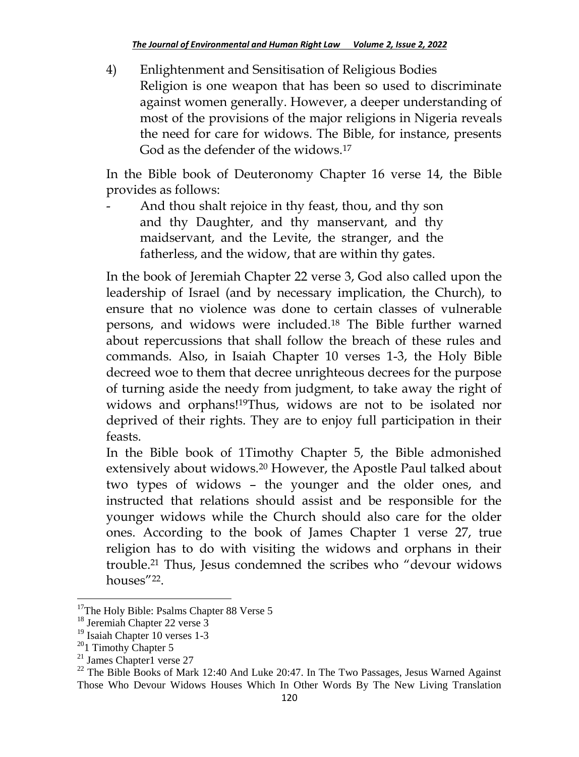4) Enlightenment and Sensitisation of Religious Bodies Religion is one weapon that has been so used to discriminate against women generally. However, a deeper understanding of most of the provisions of the major religions in Nigeria reveals the need for care for widows. The Bible, for instance, presents God as the defender of the widows.<sup>17</sup>

In the Bible book of Deuteronomy Chapter 16 verse 14, the Bible provides as follows:

And thou shalt rejoice in thy feast, thou, and thy son and thy Daughter, and thy manservant, and thy maidservant, and the Levite, the stranger, and the fatherless, and the widow, that are within thy gates.

In the book of Jeremiah Chapter 22 verse 3, God also called upon the leadership of Israel (and by necessary implication, the Church), to ensure that no violence was done to certain classes of vulnerable persons, and widows were included.<sup>18</sup> The Bible further warned about repercussions that shall follow the breach of these rules and commands. Also, in Isaiah Chapter 10 verses 1-3, the Holy Bible decreed woe to them that decree unrighteous decrees for the purpose of turning aside the needy from judgment, to take away the right of widows and orphans!19Thus, widows are not to be isolated nor deprived of their rights. They are to enjoy full participation in their feasts.

In the Bible book of 1Timothy Chapter 5, the Bible admonished extensively about widows.<sup>20</sup> However, the Apostle Paul talked about two types of widows – the younger and the older ones, and instructed that relations should assist and be responsible for the younger widows while the Church should also care for the older ones. According to the book of James Chapter 1 verse 27, true religion has to do with visiting the widows and orphans in their trouble.<sup>21</sup> Thus, Jesus condemned the scribes who "devour widows houses"<sup>22</sup>.

<sup>&</sup>lt;sup>17</sup>The Holy Bible: Psalms Chapter 88 Verse 5

<sup>18</sup> Jeremiah Chapter 22 verse 3

<sup>&</sup>lt;sup>19</sup> Isaiah Chapter 10 verses 1-3

 $201$  Timothy Chapter 5

 $21$  James Chapter1 verse 27

<sup>&</sup>lt;sup>22</sup> The Bible Books of Mark 12:40 And Luke 20:47. In The Two Passages, Jesus Warned Against Those Who Devour Widows Houses Which In Other Words By The New Living Translation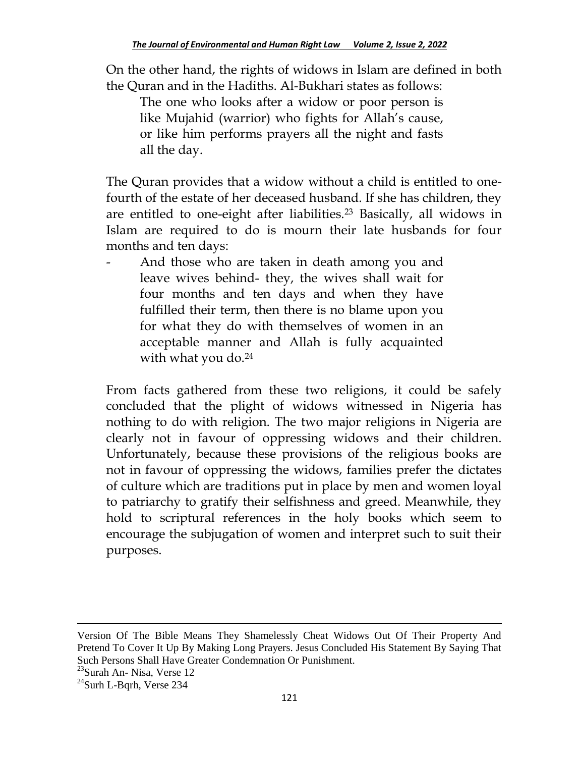On the other hand, the rights of widows in Islam are defined in both the Quran and in the Hadiths. Al-Bukhari states as follows:

The one who looks after a widow or poor person is like Mujahid (warrior) who fights for Allah's cause, or like him performs prayers all the night and fasts all the day.

The Quran provides that a widow without a child is entitled to onefourth of the estate of her deceased husband. If she has children, they are entitled to one-eight after liabilities.<sup>23</sup> Basically, all widows in Islam are required to do is mourn their late husbands for four months and ten days:

- And those who are taken in death among you and leave wives behind- they, the wives shall wait for four months and ten days and when they have fulfilled their term, then there is no blame upon you for what they do with themselves of women in an acceptable manner and Allah is fully acquainted with what you do.<sup>24</sup>

From facts gathered from these two religions, it could be safely concluded that the plight of widows witnessed in Nigeria has nothing to do with religion. The two major religions in Nigeria are clearly not in favour of oppressing widows and their children. Unfortunately, because these provisions of the religious books are not in favour of oppressing the widows, families prefer the dictates of culture which are traditions put in place by men and women loyal to patriarchy to gratify their selfishness and greed. Meanwhile, they hold to scriptural references in the holy books which seem to encourage the subjugation of women and interpret such to suit their purposes.

Version Of The Bible Means They Shamelessly Cheat Widows Out Of Their Property And Pretend To Cover It Up By Making Long Prayers. Jesus Concluded His Statement By Saying That Such Persons Shall Have Greater Condemnation Or Punishment.

<sup>&</sup>lt;sup>23</sup>Surah An- Nisa, Verse 12

 $24$ Surh L-Bqrh, Verse 234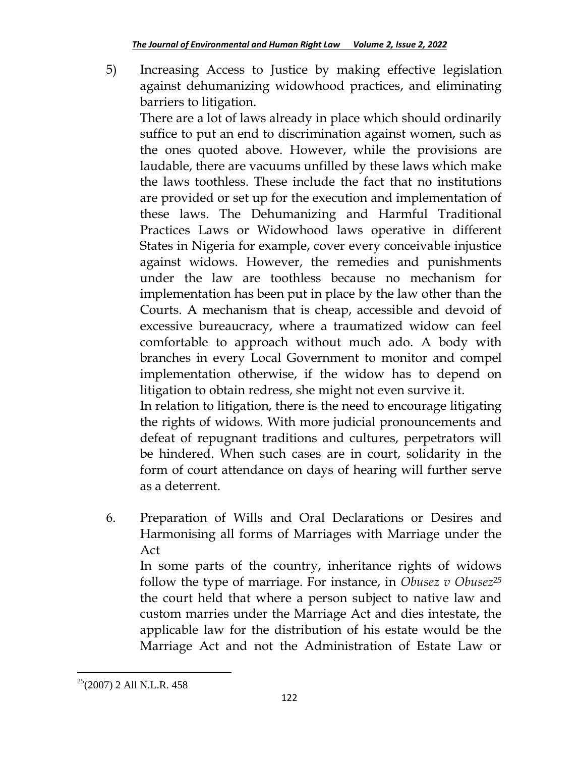5) Increasing Access to Justice by making effective legislation against dehumanizing widowhood practices, and eliminating barriers to litigation.

There are a lot of laws already in place which should ordinarily suffice to put an end to discrimination against women, such as the ones quoted above. However, while the provisions are laudable, there are vacuums unfilled by these laws which make the laws toothless. These include the fact that no institutions are provided or set up for the execution and implementation of these laws. The Dehumanizing and Harmful Traditional Practices Laws or Widowhood laws operative in different States in Nigeria for example, cover every conceivable injustice against widows. However, the remedies and punishments under the law are toothless because no mechanism for implementation has been put in place by the law other than the Courts. A mechanism that is cheap, accessible and devoid of excessive bureaucracy, where a traumatized widow can feel comfortable to approach without much ado. A body with branches in every Local Government to monitor and compel implementation otherwise, if the widow has to depend on litigation to obtain redress, she might not even survive it.

In relation to litigation, there is the need to encourage litigating the rights of widows. With more judicial pronouncements and defeat of repugnant traditions and cultures, perpetrators will be hindered. When such cases are in court, solidarity in the form of court attendance on days of hearing will further serve as a deterrent.

6. Preparation of Wills and Oral Declarations or Desires and Harmonising all forms of Marriages with Marriage under the Act

In some parts of the country, inheritance rights of widows follow the type of marriage. For instance, in *Obusez v Obusez<sup>25</sup>* the court held that where a person subject to native law and custom marries under the Marriage Act and dies intestate, the applicable law for the distribution of his estate would be the Marriage Act and not the Administration of Estate Law or

 $\overline{\phantom{a}}$  $25(2007)$  2 All N.L.R. 458